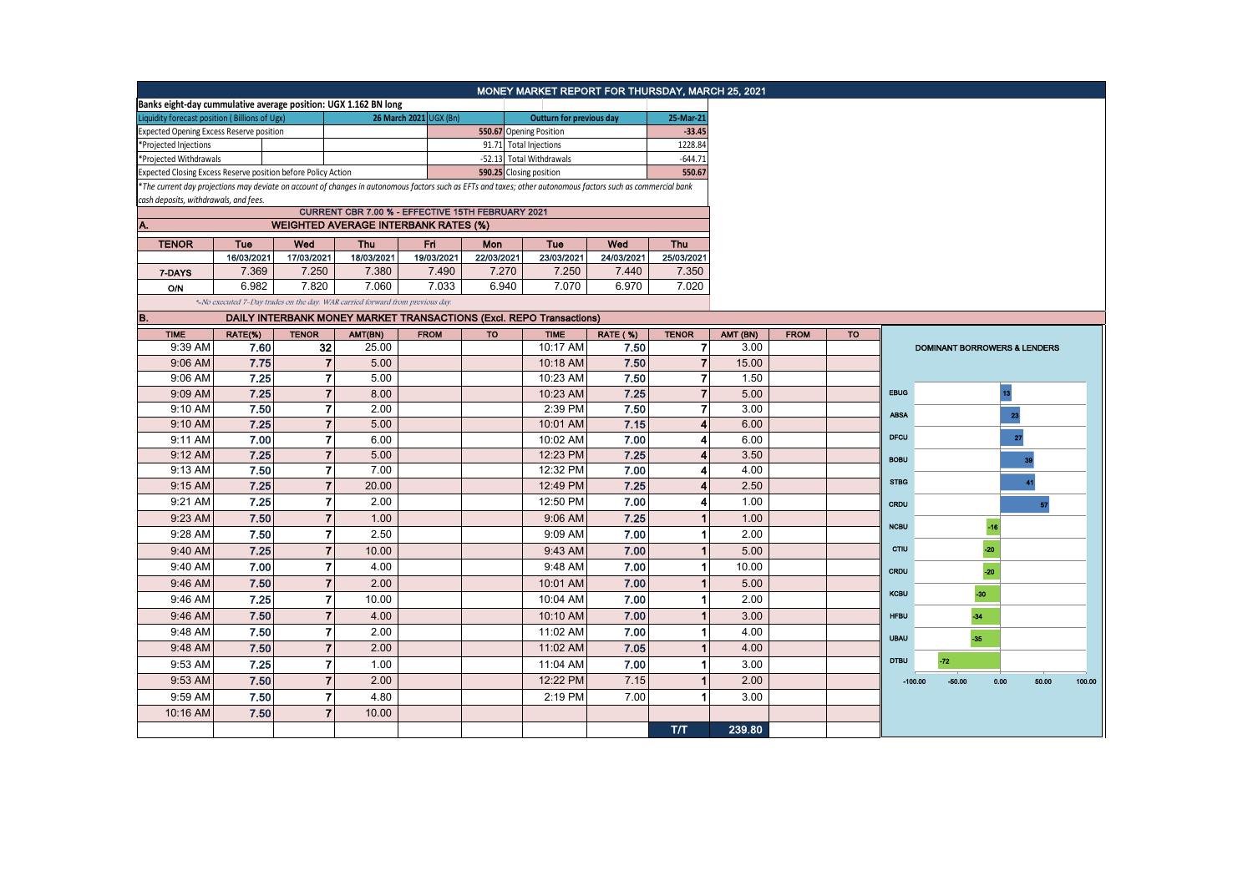|                                                                                                                                                                                                        |            |                |                                                                               |                        |            | MONEY MARKET REPORT FOR THURSDAY, MARCH 25, 2021 |                 |                |          |             |           |             |          |       |                                         |        |
|--------------------------------------------------------------------------------------------------------------------------------------------------------------------------------------------------------|------------|----------------|-------------------------------------------------------------------------------|------------------------|------------|--------------------------------------------------|-----------------|----------------|----------|-------------|-----------|-------------|----------|-------|-----------------------------------------|--------|
| Banks eight-day cummulative average position: UGX 1.162 BN long                                                                                                                                        |            |                |                                                                               |                        |            |                                                  |                 |                |          |             |           |             |          |       |                                         |        |
| Liquidity forecast position (Billions of Ugx)                                                                                                                                                          |            |                |                                                                               | 26 March 2021 UGX (Bn) |            | <b>Outturn for previous day</b>                  |                 | 25-Mar-21      |          |             |           |             |          |       |                                         |        |
| Expected Opening Excess Reserve position                                                                                                                                                               |            |                |                                                                               |                        |            | 550.67 Opening Position                          |                 | $-33.45$       |          |             |           |             |          |       |                                         |        |
| *Projected Injections                                                                                                                                                                                  |            |                |                                                                               |                        |            | 91.71 Total Injections                           |                 | 1228.84        |          |             |           |             |          |       |                                         |        |
| *Projected Withdrawals                                                                                                                                                                                 |            |                |                                                                               |                        |            | -52.13 Total Withdrawals                         |                 | $-644.71$      |          |             |           |             |          |       |                                         |        |
| Expected Closing Excess Reserve position before Policy Action                                                                                                                                          |            |                |                                                                               |                        |            | 590.25 Closing position                          |                 | 550.67         |          |             |           |             |          |       |                                         |        |
| *The current day projections may deviate on account of changes in autonomous factors such as EFTs and taxes; other autonomous factors such as commercial bank<br>cash deposits, withdrawals, and fees. |            |                |                                                                               |                        |            |                                                  |                 |                |          |             |           |             |          |       |                                         |        |
| CURRENT CBR 7.00 % - EFFECTIVE 15TH FEBRUARY 2021                                                                                                                                                      |            |                |                                                                               |                        |            |                                                  |                 |                |          |             |           |             |          |       |                                         |        |
| <b>WEIGHTED AVERAGE INTERBANK RATES (%)</b><br>Α.                                                                                                                                                      |            |                |                                                                               |                        |            |                                                  |                 |                |          |             |           |             |          |       |                                         |        |
| <b>TENOR</b><br><b>Tue</b><br>Wed                                                                                                                                                                      |            |                | Thu                                                                           | Fri                    | <b>Mon</b> | <b>Tue</b>                                       | Wed             | <b>Thu</b>     |          |             |           |             |          |       |                                         |        |
|                                                                                                                                                                                                        | 16/03/2021 | 17/03/2021     | 18/03/2021                                                                    | 19/03/2021             | 22/03/2021 | 23/03/2021                                       | 24/03/2021      | 25/03/2021     |          |             |           |             |          |       |                                         |        |
| 7-DAYS                                                                                                                                                                                                 | 7.369      | 7.250          | 7.380                                                                         | 7.490                  | 7.270      | 7.250                                            | 7.440           | 7.350          |          |             |           |             |          |       |                                         |        |
| <b>O/N</b>                                                                                                                                                                                             | 6.982      | 7.820          | 7.060                                                                         | 7.033                  | 6.940      | 7.070                                            | 6.970           | 7.020          |          |             |           |             |          |       |                                         |        |
|                                                                                                                                                                                                        |            |                | *-No executed 7-Day trades on the day. WAR carried forward from previous day. |                        |            |                                                  |                 |                |          |             |           |             |          |       |                                         |        |
| B.                                                                                                                                                                                                     |            |                |                                                                               |                        |            |                                                  |                 |                |          |             |           |             |          |       |                                         |        |
| <b>TIME</b>                                                                                                                                                                                            | RATE(%)    | <b>TENOR</b>   | AMT(BN)                                                                       | <b>FROM</b>            | <b>TO</b>  | <b>TIME</b>                                      | <b>RATE (%)</b> | <b>TENOR</b>   | AMT (BN) | <b>FROM</b> | <b>TO</b> |             |          |       |                                         |        |
| 9:39 AM                                                                                                                                                                                                | 7.60       | 32             | 25.00                                                                         |                        |            | 10:17 AM                                         | 7.50            | $\overline{7}$ | 3.00     |             |           |             |          |       | <b>DOMINANT BORROWERS &amp; LENDERS</b> |        |
| 9:06 AM                                                                                                                                                                                                | 7.75       | $\overline{7}$ | 5.00                                                                          |                        |            | 10:18 AM                                         | 7.50            | $\overline{7}$ | 15.00    |             |           |             |          |       |                                         |        |
| 9:06 AM                                                                                                                                                                                                | 7.25       | 7              | 5.00                                                                          |                        |            | 10:23 AM                                         | 7.50            | $\overline{7}$ | 1.50     |             |           |             |          |       |                                         |        |
| 9:09 AM                                                                                                                                                                                                | 7.25       | $\overline{7}$ | 8.00                                                                          |                        |            | 10:23 AM                                         | 7.25            | $\overline{7}$ | 5.00     |             |           | <b>EBUG</b> |          | 13    |                                         |        |
| 9:10 AM                                                                                                                                                                                                | 7.50       | $\overline{7}$ | 2.00                                                                          |                        |            | 2:39 PM                                          | 7.50            | $\overline{7}$ | 3.00     |             |           | <b>ABSA</b> |          |       | 23                                      |        |
| 9:10 AM                                                                                                                                                                                                | 7.25       | $\overline{7}$ | 5.00                                                                          |                        |            | 10:01 AM                                         | 7.15            | 4              | 6.00     |             |           |             |          |       |                                         |        |
| 9:11 AM                                                                                                                                                                                                | 7.00       | $\overline{7}$ | 6.00                                                                          |                        |            | 10:02 AM                                         | 7.00            | 4              | 6.00     |             |           | <b>DFCU</b> |          |       | $\bf{27}$                               |        |
| 9:12 AM                                                                                                                                                                                                | 7.25       | $\overline{7}$ | 5.00                                                                          |                        |            | 12:23 PM                                         | 7.25            |                | 3.50     |             |           | <b>BOBU</b> |          |       | 39                                      |        |
| 9:13 AM                                                                                                                                                                                                | 7.50       | $\overline{7}$ | 7.00                                                                          |                        |            | 12:32 PM                                         | 7.00            | 4              | 4.00     |             |           |             |          |       |                                         |        |
| 9:15 AM                                                                                                                                                                                                | 7.25       | $\overline{7}$ | 20.00                                                                         |                        |            | 12:49 PM                                         | 7.25            | 4              | 2.50     |             |           | <b>STBG</b> |          |       | 41                                      |        |
| 9:21 AM                                                                                                                                                                                                | 7.25       | $\overline{7}$ | 2.00                                                                          |                        |            | 12:50 PM                                         | 7.00            | 4              | 1.00     |             |           | CRDU        |          |       | 57                                      |        |
| 9:23 AM                                                                                                                                                                                                | 7.50       | $\overline{7}$ | 1.00                                                                          |                        |            | 9:06 AM                                          | 7.25            |                | 1.00     |             |           |             |          |       |                                         |        |
| 9:28 AM                                                                                                                                                                                                | 7.50       | $\overline{7}$ | 2.50                                                                          |                        |            | 9:09 AM                                          | 7.00            |                | 2.00     |             |           | <b>NCBU</b> |          | $-16$ |                                         |        |
| 9:40 AM                                                                                                                                                                                                | 7.25       | $\overline{7}$ | 10.00                                                                         |                        |            | 9:43 AM                                          | 7.00            | 1              | 5.00     |             |           | CTIU        |          | $-20$ |                                         |        |
| 9:40 AM                                                                                                                                                                                                | 7.00       | $\overline{7}$ | 4.00                                                                          |                        |            | 9:48 AM                                          | 7.00            | 1              | 10.00    |             |           | CRDU        |          | $-20$ |                                         |        |
| 9:46 AM                                                                                                                                                                                                | 7.50       | $\overline{7}$ | 2.00                                                                          |                        |            | 10:01 AM                                         | 7.00            | 1              | 5.00     |             |           |             |          |       |                                         |        |
| 9:46 AM                                                                                                                                                                                                | 7.25       | $\overline{7}$ | 10.00                                                                         |                        |            | 10:04 AM                                         | 7.00            | -1             | 2.00     |             |           | <b>KCBU</b> |          | $-30$ |                                         |        |
| 9:46 AM                                                                                                                                                                                                | 7.50       | $\overline{7}$ | 4.00                                                                          |                        |            | 10:10 AM                                         | 7.00            | 1              | 3.00     |             |           | <b>HFBU</b> |          | $-34$ |                                         |        |
| 9:48 AM                                                                                                                                                                                                | 7.50       | $\overline{7}$ | 2.00                                                                          |                        |            | 11:02 AM                                         | 7.00            | 1              | 4.00     |             |           |             |          |       |                                         |        |
|                                                                                                                                                                                                        | 7.50       | $\overline{7}$ | 2.00                                                                          |                        |            |                                                  |                 |                | 4.00     |             |           | <b>UBAU</b> |          | $-35$ |                                         |        |
| 9:48 AM                                                                                                                                                                                                |            |                |                                                                               |                        |            | 11:02 AM                                         | 7.05            |                |          |             |           | <b>DTBU</b> | $-72$    |       |                                         |        |
| 9:53 AM                                                                                                                                                                                                | 7.25       | $\overline{7}$ | 1.00                                                                          |                        |            | 11:04 AM                                         | 7.00            | 1              | 3.00     |             |           |             |          |       |                                         |        |
| 9:53 AM                                                                                                                                                                                                | 7.50       | $\overline{7}$ | 2.00                                                                          |                        |            | 12:22 PM                                         | 7.15            | 1              | 2.00     |             |           | $-100.00$   | $-50.00$ | 0.00  | 50.00                                   | 100.00 |
| 9:59 AM                                                                                                                                                                                                | 7.50       | $\overline{7}$ | 4.80                                                                          |                        |            | 2:19 PM                                          | 7.00            | 1              | 3.00     |             |           |             |          |       |                                         |        |
| 10:16 AM                                                                                                                                                                                               | 7.50       | $\overline{7}$ | 10.00                                                                         |                        |            |                                                  |                 |                |          |             |           |             |          |       |                                         |        |
|                                                                                                                                                                                                        |            |                |                                                                               |                        |            |                                                  |                 | тл             | 239.80   |             |           |             |          |       |                                         |        |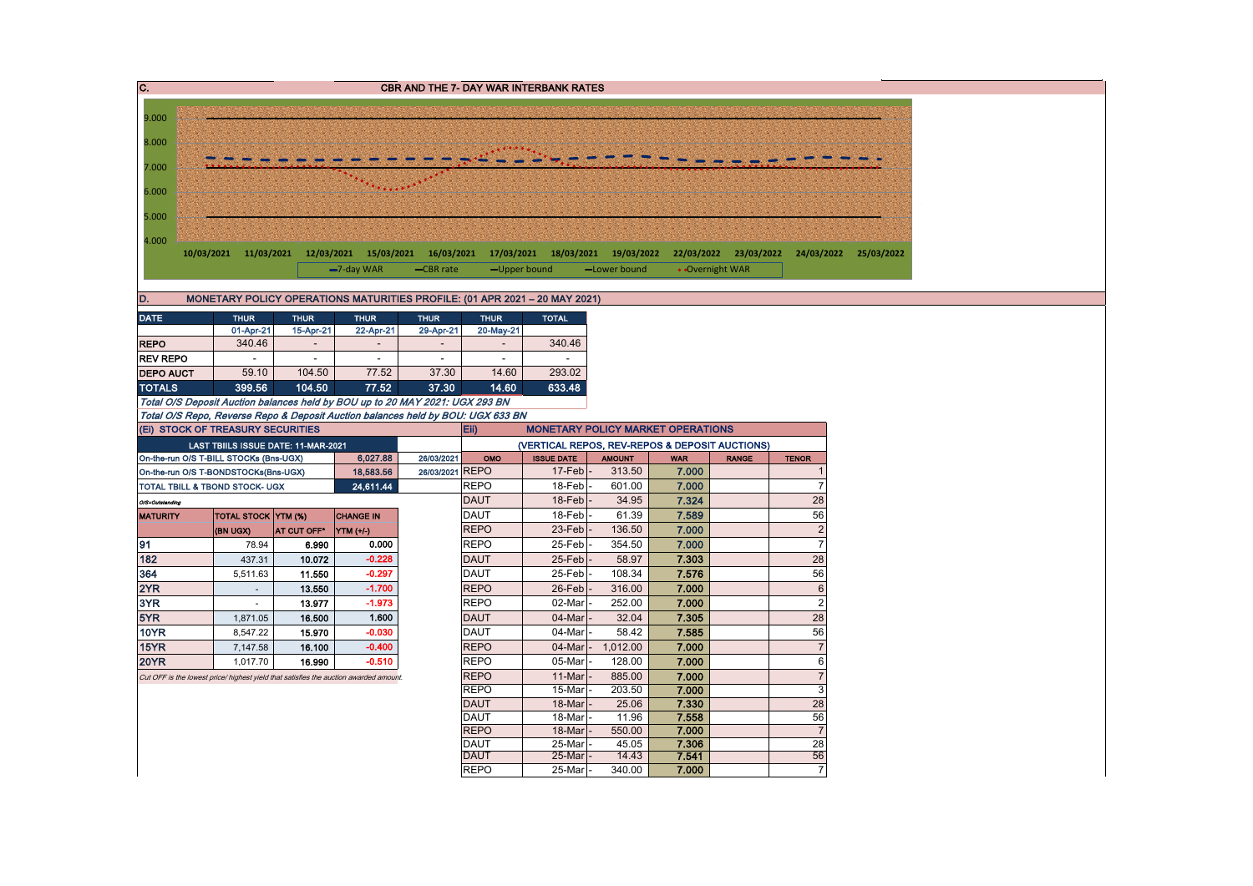| $\overline{\mathbf{C}}$ .  |  |                                           |                                     |                                                                                       |                          |                            | CBR AND THE 7- DAY WAR INTERBANK RATES |                                                                                         |                |                       |                       |
|----------------------------|--|-------------------------------------------|-------------------------------------|---------------------------------------------------------------------------------------|--------------------------|----------------------------|----------------------------------------|-----------------------------------------------------------------------------------------|----------------|-----------------------|-----------------------|
|                            |  |                                           |                                     |                                                                                       |                          |                            |                                        |                                                                                         |                |                       |                       |
| 9.000                      |  |                                           |                                     |                                                                                       |                          |                            |                                        |                                                                                         |                |                       |                       |
| 8.000                      |  |                                           |                                     |                                                                                       |                          |                            |                                        |                                                                                         |                |                       |                       |
| 7.000                      |  |                                           |                                     |                                                                                       |                          |                            |                                        |                                                                                         |                |                       |                       |
|                            |  |                                           |                                     |                                                                                       |                          |                            |                                        |                                                                                         |                |                       |                       |
| 6.000                      |  |                                           |                                     |                                                                                       |                          |                            |                                        |                                                                                         |                |                       |                       |
| 5.000                      |  |                                           |                                     |                                                                                       |                          |                            |                                        |                                                                                         |                |                       |                       |
| 4.000                      |  |                                           |                                     |                                                                                       |                          |                            |                                        |                                                                                         |                |                       |                       |
|                            |  |                                           |                                     |                                                                                       |                          |                            |                                        | 10/03/2021 11/03/2021 12/03/2021 15/03/2021 16/03/2021 17/03/2021 18/03/2021 19/03/2022 |                | 22/03/2022 23/03/2022 | 24/03/2022 25/03/2022 |
|                            |  |                                           |                                     | -7-day WAR                                                                            | -CBR rate                |                            | -Upper bound                           | -Lower bound                                                                            |                | • Overnight WAR       |                       |
|                            |  |                                           |                                     |                                                                                       |                          |                            |                                        |                                                                                         |                |                       |                       |
| D.                         |  |                                           |                                     | MONETARY POLICY OPERATIONS MATURITIES PROFILE: (01 APR 2021 - 20 MAY 2021)            |                          |                            |                                        |                                                                                         |                |                       |                       |
| <b>DATE</b>                |  | <b>THUR</b><br>01-Apr-21                  | <b>THUR</b><br>15-Apr-21            | <b>THUR</b><br>22-Apr-21                                                              | <b>THUR</b><br>29-Apr-21 | <b>THUR</b><br>20-May-21   | <b>TOTAL</b>                           |                                                                                         |                |                       |                       |
| <b>REPO</b>                |  | 340.46                                    | $\sim$                              | $\blacksquare$                                                                        | $\overline{\phantom{a}}$ | $\overline{\phantom{a}}$   | 340.46                                 |                                                                                         |                |                       |                       |
| <b>REV REPO</b>            |  | $\sim$                                    | $\overline{\phantom{a}}$            | $\overline{\phantom{a}}$                                                              | $\sim$                   | $\overline{\phantom{a}}$   | $\sim$                                 |                                                                                         |                |                       |                       |
| <b>DEPO AUCT</b>           |  | 59.10                                     | 104.50                              | 77.52                                                                                 | 37.30                    | 14.60                      | 293.02                                 |                                                                                         |                |                       |                       |
| <b>TOTALS</b>              |  | 399.56                                    | 104.50                              | 77.52                                                                                 | 37.30                    | 14.60                      | 633.48                                 |                                                                                         |                |                       |                       |
|                            |  |                                           |                                     | Total O/S Deposit Auction balances held by BOU up to 20 MAY 2021: UGX 293 BN          |                          |                            |                                        |                                                                                         |                |                       |                       |
|                            |  | (Ei) STOCK OF TREASURY SECURITIES         |                                     | Total O/S Repo, Reverse Repo & Deposit Auction balances held by BOU: UGX 633 BN       |                          | Eii)                       |                                        | <b>MONETARY POLICY MARKET OPERATIONS</b>                                                |                |                       |                       |
|                            |  |                                           | LAST TBIILS ISSUE DATE: 11-MAR-2021 |                                                                                       |                          |                            |                                        | (VERTICAL REPOS, REV-REPOS & DEPOSIT AUCTIONS)                                          |                |                       |                       |
|                            |  | On-the-run O/S T-BILL STOCKs (Bns-UGX)    |                                     | 6,027.88                                                                              | 26/03/2021               | OMO                        | <b>ISSUE DATE</b>                      | <b>AMOUNT</b>                                                                           | <b>WAR</b>     | <b>RANGE</b>          | <b>TENOR</b>          |
|                            |  | On-the-run O/S T-BONDSTOCKs(Bns-UGX)      |                                     | 18,583.56                                                                             | 26/03/2021 REPO          |                            | $17$ -Feb $\vert$ -                    | 313.50                                                                                  | 7.000          |                       |                       |
|                            |  | <b>TOTAL TBILL &amp; TBOND STOCK- UGX</b> |                                     | 24,611.44                                                                             |                          | <b>REPO</b>                | 18-Feb-                                | 601.00                                                                                  | 7.000          |                       | 7                     |
| O/S=Outstanding            |  |                                           |                                     |                                                                                       |                          | <b>DAUT</b>                | $18$ -Feb                              | 34.95                                                                                   | 7.324          |                       | 28                    |
| <b>MATURITY</b>            |  | <b>TOTAL STOCK YTM (%)</b><br>(BN UGX)    | AT CUT OFF*                         | <b>CHANGE IN</b><br>YTM (+/-)                                                         |                          | <b>DAUT</b><br><b>REPO</b> | 18-Feb<br>23-Feb                       | 61.39<br>136.50                                                                         | 7.589<br>7.000 |                       | 56<br>$\overline{2}$  |
| 91                         |  | 78.94                                     | 6.990                               | 0.000                                                                                 |                          | <b>REPO</b>                | 25-Feb                                 | 354.50                                                                                  | 7.000          |                       | $\overline{7}$        |
| 182                        |  | 437.31                                    | 10.072                              | $-0.228$                                                                              |                          | <b>DAUT</b>                | 25-Feb                                 | 58.97                                                                                   | 7.303          |                       | 28                    |
| 364                        |  | 5,511.63                                  | 11.550                              | $-0.297$                                                                              |                          | <b>DAUT</b>                | 25-Feb                                 | 108.34                                                                                  | 7.576          |                       | 56                    |
| 2YR                        |  | $\sim$                                    | 13.550                              | $-1.700$                                                                              |                          | <b>REPO</b>                | 26-Feb                                 | 316.00                                                                                  | 7.000          |                       | $6\phantom{1}$        |
| 3YR                        |  | $\sim$                                    | 13.977                              | $-1.973$                                                                              |                          | <b>REPO</b>                | 02-Mar                                 | 252.00                                                                                  | 7.000          |                       | $\overline{2}$        |
| 5YR                        |  | 1,871.05                                  | 16,500                              | 1.600                                                                                 |                          | <b>DAUT</b>                | 04-Mar                                 | 32.04                                                                                   | 7.305          |                       | 28                    |
| <b>10YR</b>                |  | 8,547.22                                  | 15.970                              | $-0.030$                                                                              |                          | <b>DAUT</b>                | 04-Mar                                 | 58.42                                                                                   | 7.585          |                       | 56                    |
| <b>15YR</b><br><b>20YR</b> |  | 7,147.58<br>1,017.70                      | 16.100<br>16.990                    | $-0.400$<br>$-0.510$                                                                  |                          | <b>REPO</b><br><b>REPO</b> | $04$ -Mar<br>05-Mar                    | 1,012.00<br>128.00                                                                      | 7.000<br>7.000 |                       | $\overline{7}$<br>6   |
|                            |  |                                           |                                     | Cut OFF is the lowest price/ highest yield that satisfies the auction awarded amount. |                          | <b>REPO</b>                | 11-Mar                                 | 885.00                                                                                  | 7.000          |                       | $\overline{7}$        |
|                            |  |                                           |                                     |                                                                                       |                          | <b>REPO</b>                | 15-Mar                                 | 203.50                                                                                  | 7.000          |                       | 3                     |
|                            |  |                                           |                                     |                                                                                       |                          | <b>DAUT</b>                | 18-Mar                                 | 25.06                                                                                   | 7.330          |                       | 28                    |
|                            |  |                                           |                                     |                                                                                       |                          | <b>DAUT</b>                | 18-Mar                                 | 11.96                                                                                   | 7.558          |                       | 56                    |
|                            |  |                                           |                                     |                                                                                       |                          | <b>REPO</b><br><b>DAUT</b> | 18-Mar<br>25-Mar                       | 550.00<br>45.05                                                                         | 7.000<br>7.306 |                       | $\overline{7}$<br>28  |
|                            |  |                                           |                                     |                                                                                       |                          | <b>DAUT</b>                | $25$ -Mar                              | 14.43                                                                                   | 7.541          |                       | 56                    |
|                            |  |                                           |                                     |                                                                                       |                          | <b>REPO</b>                | 25-Mar                                 | 340.00                                                                                  | 7.000          |                       | $\overline{7}$        |